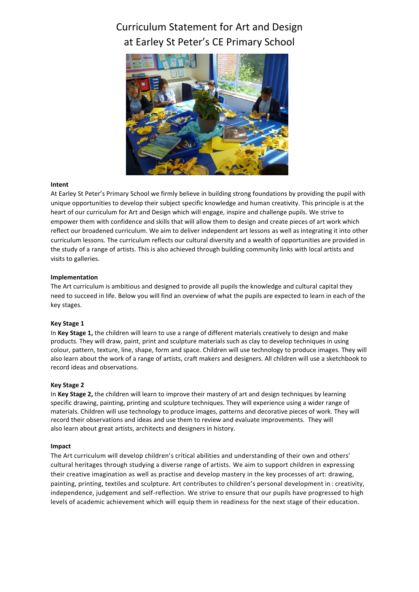# Curriculum Statement for Art and Design at Earley St Peter's CE Primary School



## **Intent**

At Earley St Peter's Primary School we firmly believe in building strong foundations by providing the pupil with unique opportunities to develop their subject specific knowledge and human creativity. This principle is at the heart of our curriculum for Art and Design which will engage, inspire and challenge pupils. We strive to empower them with confidence and skills that will allow them to design and create pieces of art work which reflect our broadened curriculum. We aim to deliver independent art lessons as well as integrating it into other curriculum lessons. The curriculum reflects our cultural diversity and a wealth of opportunities are provided in the study of a range of artists. This is also achieved through building community links with local artists and visits to galleries.

## **Implementation**

The Art curriculum is ambitious and designed to provide all pupils the knowledge and cultural capital they need to succeed in life. Below you will find an overview of what the pupils are expected to learn in each of the key stages.

## **Key Stage 1**

In **Key Stage 1,** the children will learn to use a range of different materials creatively to design and make products. They will draw, paint, print and sculpture materials such as clay to develop techniques in using colour, pattern, texture, line, shape, form and space. Children will use technology to produce images. They will also learn about the work of a range of artists, craft makers and designers. All children will use a sketchbook to record ideas and observations.

## **Key Stage 2**

In **Key Stage 2,** the children will learn to improve their mastery of art and design techniques by learning specific drawing, painting, printing and sculpture techniques. They will experience using a wider range of materials. Children will use technology to produce images, patterns and decorative pieces of work. They will record their observations and ideas and use them to review and evaluate improvements. They will also learn about great artists, architects and designers in history.

## **Impact**

The Art curriculum will develop children's critical abilities and understanding of their own and others' cultural heritages through studying a diverse range of artists. We aim to support children in expressing their creative imagination as well as practise and develop mastery in the key processes of art: drawing, painting, printing, textiles and sculpture. Art contributes to children's personal development in : creativity, independence, judgement and self-reflection. We strive to ensure that our pupils have progressed to high levels of academic achievement which will equip them in readiness for the next stage of their education.